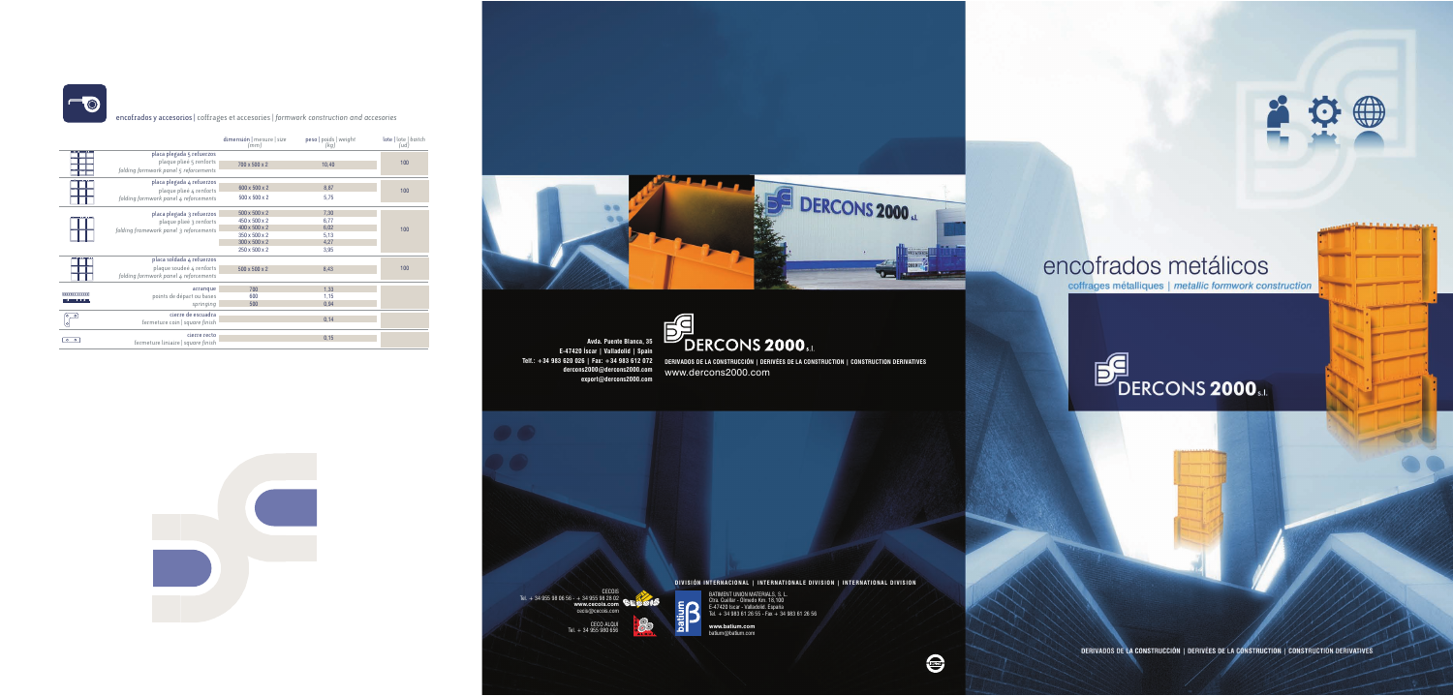

encofrados y accesorios | coffrages et accesories | *formwork construction and accesories*

Telf.: +34 983 620 026 | Fax: +34 983 612 072 Derivados de la construcción | derivées de la construction | construction derivatives www.dercons2000.com

|                                  |                                                                                                | dimensión   mesure   size<br>(mm)                                                                  | peso   poids   weight<br>(kg)                | lote   lote   baitch<br>(ud) |
|----------------------------------|------------------------------------------------------------------------------------------------|----------------------------------------------------------------------------------------------------|----------------------------------------------|------------------------------|
| 888888888888                     | placa plegada 5 refuerzos<br>plaque plieé 5 renforts<br>folding formwork panel 5 reforcements  | 700 x 500 x 2                                                                                      | 10,40                                        | 100                          |
| anna an a na na                  | placa plegada 4 refuerzos<br>plaque plieé 4 renforts<br>folding formwork panel 4 reforcements  | 600 x 500 x 2<br>500 x 500 x 2                                                                     | 8,87<br>5,75                                 | 100                          |
| 0000000000000                    | placa plegada 3 refuerzos<br>plaque plieé 3 renforts<br>folding framework panel 3 reforcements | 500 x 500 x 2<br>450 x 500 x 2<br>400 x 500 x 2<br>350 x 500 x 2<br>300 x 500 x 2<br>250 x 500 x 2 | 7,30<br>6,77<br>6,02<br>5,13<br>4,27<br>3,95 | 100                          |
| 000000000000                     | placa soldada 4 refuerzos<br>plaque soudeé 4 renforts<br>folding formwork panel 4 reforcements | $500 \times 500 \times 2$                                                                          | 8,43                                         | 100                          |
| 0000000000000<br>,00000000000000 | arranque<br>points de départ ou bases<br>springing                                             | 700<br>600<br>500                                                                                  | 1,33<br>1,15<br>0,94                         |                              |
| $\circ$<br>ſ٥.<br>lo             | cierre de escuadra<br>fermeture coin   square finish                                           |                                                                                                    | 0,14                                         |                              |
| $\overline{\circ}$<br>$\circ$    | cierre recto<br>fermeture liniaire   square finish                                             |                                                                                                    | 0,15                                         |                              |



**Avda. Puente Blanca, 35 E-47420 Íscar | Valladolid | Spain dercons2000@dercons2000.com export@dercons2000.com**



 $\frac{1}{2}$ 

**DIVISIÓN INTERNACIONAL | INTERNATIONALE DIVISION | INTERNATIONAL DIVISION** BATIMENT UNION MATERIALS, S. L. Ctra. Cuéllar - Olmedo Km. 18,100 E-47420 Iscar - Valladolid. España Tel. + 34 983 61 26 55 - Fax + 34 983 61 26 56

**Content** 

**www.batium.com** batium@batium.com

## encofrados metálicos

coffrages métalliques | metallic formwork construction

ÆD

**DESCRIPTION AND ASSESS** 

Q



DERIVADOS DE LA CONSTRUCCIÓN | DERIVÉES DE LA CONSTRUCTION | CONSTRUCTION DERIVATIVES

CECOIS



## $\mathrm{^{\prime}DERCONS}$  2000 $_{\text{\tiny S.L.}}$

Tel. + 34 955 98 06 56 - + 34 955 98 28 02

**www.cecois.com** cecis@cecois.com CECO ALQUI Tel. + 34 955 980 656